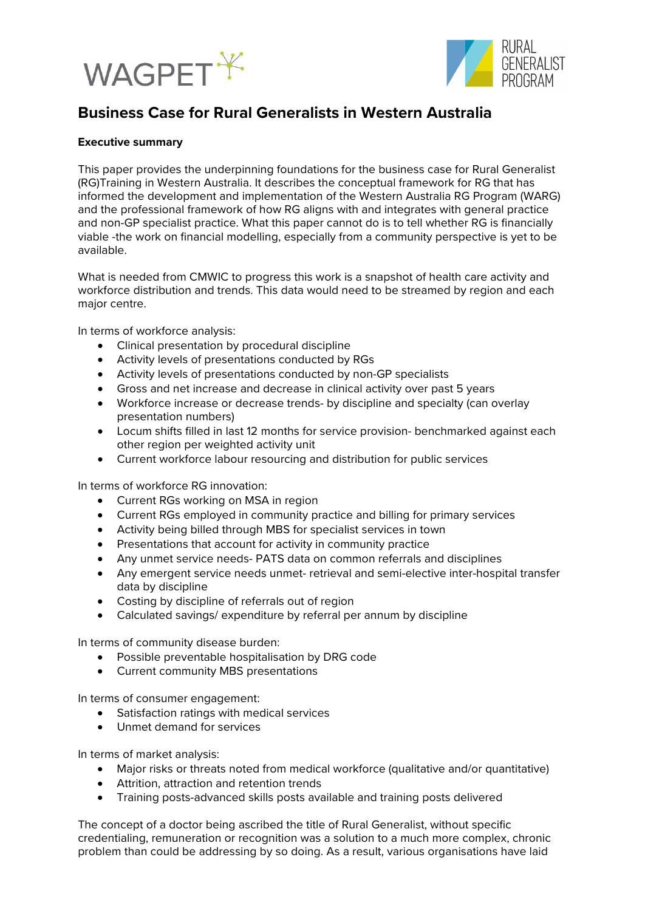



# **Business Case for Rural Generalists in Western Australia**

#### **Executive summary**

This paper provides the underpinning foundations for the business case for Rural Generalist (RG)Training in Western Australia. It describes the conceptual framework for RG that has informed the development and implementation of the Western Australia RG Program (WARG) and the professional framework of how RG aligns with and integrates with general practice and non-GP specialist practice. What this paper cannot do is to tell whether RG is financially viable -the work on financial modelling, especially from a community perspective is yet to be available.

What is needed from CMWIC to progress this work is a snapshot of health care activity and workforce distribution and trends. This data would need to be streamed by region and each major centre.

In terms of workforce analysis:

- Clinical presentation by procedural discipline
- Activity levels of presentations conducted by RGs
- Activity levels of presentations conducted by non-GP specialists
- Gross and net increase and decrease in clinical activity over past 5 years
- Workforce increase or decrease trends- by discipline and specialty (can overlay presentation numbers)
- Locum shifts filled in last 12 months for service provision- benchmarked against each other region per weighted activity unit
- Current workforce labour resourcing and distribution for public services

In terms of workforce RG innovation:

- Current RGs working on MSA in region
- Current RGs employed in community practice and billing for primary services
- Activity being billed through MBS for specialist services in town
- Presentations that account for activity in community practice
- Any unmet service needs- PATS data on common referrals and disciplines
- Any emergent service needs unmet- retrieval and semi-elective inter-hospital transfer data by discipline
- Costing by discipline of referrals out of region
- Calculated savings/ expenditure by referral per annum by discipline

In terms of community disease burden:

- Possible preventable hospitalisation by DRG code
- Current community MBS presentations

In terms of consumer engagement:

- Satisfaction ratings with medical services
- Unmet demand for services

In terms of market analysis:

- Major risks or threats noted from medical workforce (qualitative and/or quantitative)
- Attrition, attraction and retention trends
- Training posts-advanced skills posts available and training posts delivered

The concept of a doctor being ascribed the title of Rural Generalist, without specific credentialing, remuneration or recognition was a solution to a much more complex, chronic problem than could be addressing by so doing. As a result, various organisations have laid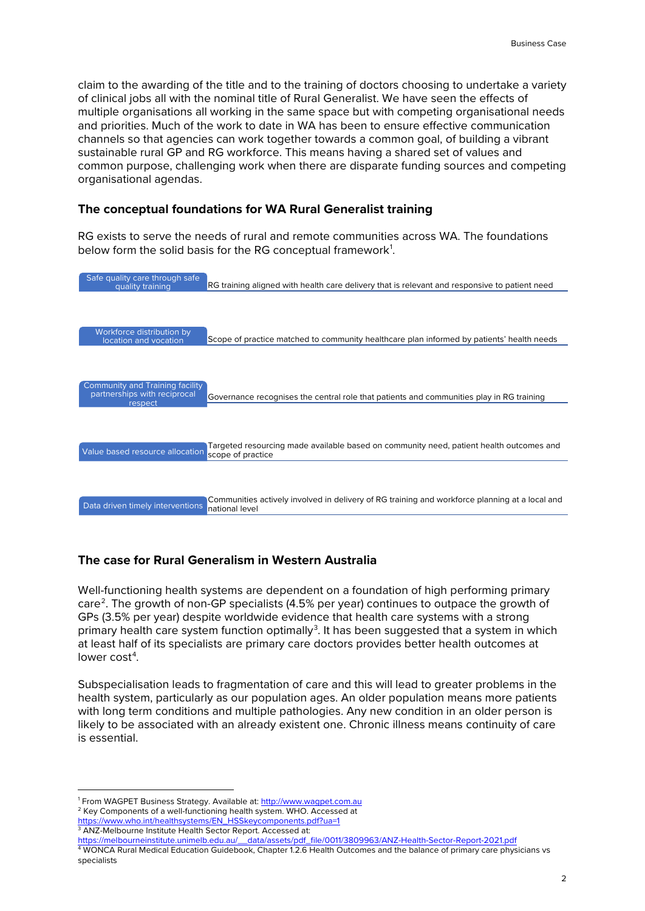claim to the awarding of the title and to the training of doctors choosing to undertake a variety of clinical jobs all with the nominal title of Rural Generalist. We have seen the effects of multiple organisations all working in the same space but with competing organisational needs and priorities. Much of the work to date in WA has been to ensure effective communication channels so that agencies can work together towards a common goal, of building a vibrant sustainable rural GP and RG workforce. This means having a shared set of values and common purpose, challenging work when there are disparate funding sources and competing organisational agendas.

### **The conceptual foundations for WA Rural Generalist training**

RG exists to serve the needs of rural and remote communities across WA. The foundations below form the solid basis for the RG conceptual framework $^1$  $^1$ .

| Safe quality care through safe<br>quality training              | RG training aligned with health care delivery that is relevant and responsive to patient need                    |
|-----------------------------------------------------------------|------------------------------------------------------------------------------------------------------------------|
|                                                                 |                                                                                                                  |
|                                                                 |                                                                                                                  |
| Workforce distribution by<br>location and vocation              | Scope of practice matched to community healthcare plan informed by patients' health needs                        |
|                                                                 |                                                                                                                  |
|                                                                 |                                                                                                                  |
| Community and Training facility<br>partnerships with reciprocal | Governance recognises the central role that patients and communities play in RG training                         |
| respect                                                         |                                                                                                                  |
|                                                                 |                                                                                                                  |
| Value based resource allocation                                 | Targeted resourcing made available based on community need, patient health outcomes and<br>scope of practice     |
|                                                                 |                                                                                                                  |
|                                                                 |                                                                                                                  |
| Data driven timely interventions                                | Communities actively involved in delivery of RG training and workforce planning at a local and<br>national level |
|                                                                 |                                                                                                                  |

## **The case for Rural Generalism in Western Australia**

Well-functioning health systems are dependent on a foundation of high performing primary care<sup>[2](#page-1-1)</sup>. The growth of non-GP specialists (4.5% per year) continues to outpace the growth of GPs (3.5% per year) despite worldwide evidence that health care systems with a strong primary health care system function optimally<sup>[3](#page-1-2)</sup>. It has been suggested that a system in which at least half of its specialists are primary care doctors provides better health outcomes at lower cost<sup>[4](#page-1-3)</sup>.

Subspecialisation leads to fragmentation of care and this will lead to greater problems in the health system, particularly as our population ages. An older population means more patients with long term conditions and multiple pathologies. Any new condition in an older person is likely to be associated with an already existent one. Chronic illness means continuity of care is essential.

<u>.</u>

<sup>&</sup>lt;sup>1</sup> From WAGPET Business Strategy. Available at: [http://www.wagpet.com.au](http://www.wagpet.com.au/)

<span id="page-1-1"></span><span id="page-1-0"></span><sup>&</sup>lt;sup>2</sup> Key Components of a well-functioning health system. WHO. Accessed at

[https://www.who.int/healthsystems/EN\\_HSSkeycomponents.pdf?ua=1](https://www.who.int/healthsystems/EN_HSSkeycomponents.pdf?ua=1)

<span id="page-1-2"></span><sup>&</sup>lt;sup>3</sup> ANZ-Melbourne Institute Health Sector Report. Accessed at: [https://melbourneinstitute.unimelb.edu.au/\\_\\_data/assets/pdf\\_file/0011/3809963/ANZ-Health-Sector-Report-2021.pdf](https://melbourneinstitute.unimelb.edu.au/__data/assets/pdf_file/0011/3809963/ANZ-Health-Sector-Report-2021.pdf)

<span id="page-1-3"></span> $4$  WONCA Rural Medical Education Guidebook, Chapter 1.2.6 Health Outcomes and the balance of primary care physicians vs

specialists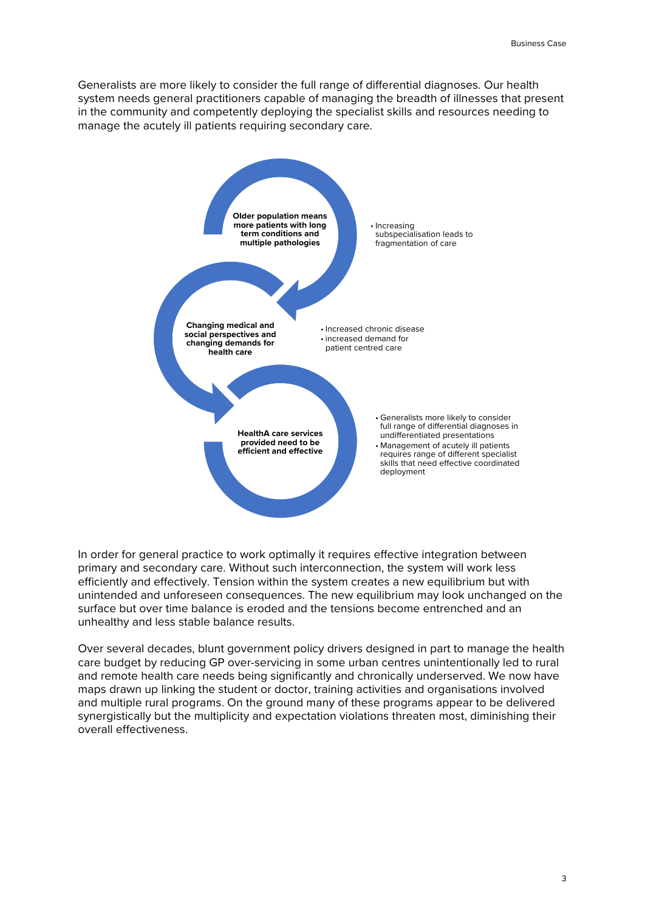Generalists are more likely to consider the full range of differential diagnoses. Our health system needs general practitioners capable of managing the breadth of illnesses that present in the community and competently deploying the specialist skills and resources needing to manage the acutely ill patients requiring secondary care.



In order for general practice to work optimally it requires effective integration between primary and secondary care. Without such interconnection, the system will work less efficiently and effectively. Tension within the system creates a new equilibrium but with unintended and unforeseen consequences. The new equilibrium may look unchanged on the surface but over time balance is eroded and the tensions become entrenched and an unhealthy and less stable balance results.

Over several decades, blunt government policy drivers designed in part to manage the health care budget by reducing GP over-servicing in some urban centres unintentionally led to rural and remote health care needs being significantly and chronically underserved. We now have maps drawn up linking the student or doctor, training activities and organisations involved and multiple rural programs. On the ground many of these programs appear to be delivered synergistically but the multiplicity and expectation violations threaten most, diminishing their overall effectiveness.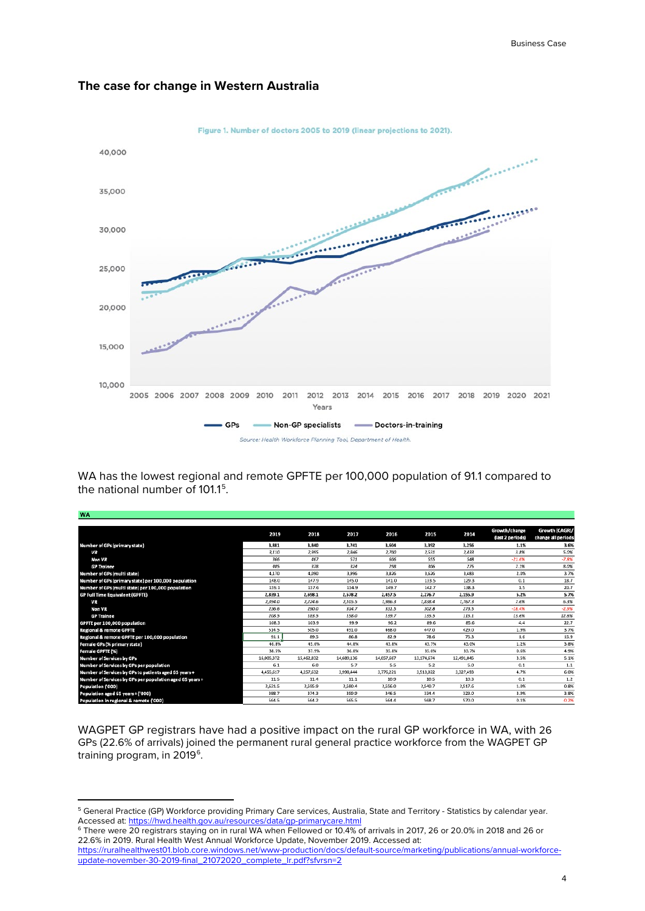

### **The case for change in Western Australia**

WA has the lowest regional and remote GPFTE per 100,000 population of 91.1 compared to the national number of 101.1<sup>[5](#page-3-0)</sup>.

|                                                          | 2019       | 2018       | 2017       | 2016       | 2015       | 2014       | Growth/change<br>(last 2 periods) | Growth (CAGR)/<br>change all periods |
|----------------------------------------------------------|------------|------------|------------|------------|------------|------------|-----------------------------------|--------------------------------------|
| Number of GPs (primary state)                            | 3.881      | 3,840      | 3.741      | 3,604      | 3.392      | 3,256      | 1.1%                              | 3.6%                                 |
| VR                                                       | 3,110      | 2.995      | 2,846      | 2,700      | 2,531      | 2,433      | 3.8%                              | 5.0%                                 |
| Non VR                                                   | 366        | 467        | 571        | 606        | 555        | 548        | $-21.6%$                          | $-7.8%$                              |
| <b>GP Trainee</b>                                        | 405        | 378        | 324        | 298        | 306        | 275        | 7.1%                              | 8.0%                                 |
| Number of GPs (multi state)                              | 4.170      | 4,090      | 3.996      | 3.826      | 3,626      | 3,483      | 2.0%                              | 3.7%                                 |
| Number of GPs (primary state) per 100,000 population     | 148.0      | 147.9      | 145.0      | 141.0      | 133.5      | 129.3      | 0.1                               | 18.7                                 |
| Number of GPs (multi state) per 100,000 population       | 159.1      | 157.6      | 154.9      | 149.7      | 142.7      | 138.3      | 1.5                               | 20.7                                 |
| <b>GP Full Time Equivalent (GPFTE)</b>                   | 2,839.1    | 2,698.1    | 2,578.2    | 2,457.5    | 2,276.7    | 2,155.9    | 5.2%                              | 5.7%                                 |
| VR                                                       | 2,394.0    | 2,224.6    | 2,105.5    | 1,986.3    | 1,838.4    | 1,767.3    | 7.6%                              | 6.3%                                 |
| Non VR                                                   | 236.6      | 290.0      | 314.7      | 331.5      | 302.8      | 273.5      | $-18.4%$                          | $-2.9%$                              |
| <b>GP Trainee</b>                                        | 208.5      | 183.5      | 158.0      | 139.7      | 135.5      | 115.1      | 13.6%                             | 12.6%                                |
| GPFTE per 100,000 population                             | 108.3      | 103.9      | 99.9       | 96.2       | 89.6       | 85.6       | 4.4                               | 22.7                                 |
| <b>Regional &amp; remote GPFTE</b>                       | 514.5      | 505.0      | 491.0      | 468.0      | 447.0      | 429.0      | 1.9%                              | 3.7%                                 |
| Regional & remote GPFTE per 100,000 population           | 91.1       | 89.5       | 86.8       | 82.9       | 78.6       | 75.3       | 1.6                               | 15.9                                 |
| Female GPs (% primary state)                             | 46.8%      | 45.6%      | 44.8%      | 43.8%      | 43.7%      | 43.0%      | 1.2%                              | 3.8%                                 |
| Female GPFTE (%)                                         | 38.5%      | 37.9%      | 36.8%      | 35.8%      | 35.0%      | 33.7%      | 0.6%                              | 4.9%                                 |
| <b>Number of Services by GPs</b>                         | 16,005,372 | 15,462,832 | 14,689.136 | 14.057.667 | 13.174.674 | 12,491,045 | 3.5%                              | 5.1%                                 |
| Number of Services by GPs per population                 | 6.1        | 6.0        | 5.7        | 5.5        | 5.2        | 5.0        | 0.1                               | 1.1                                  |
| Number of Services by GPs to patients aged 65 years +    | 4,455,617  | 4,257,632  | 3,998,444  | 3,776,221  | 3,513,022  | 3,327,493  | 4.7%                              | 6.0%                                 |
| Number of Services by GPs per population aged 65 years + | 11.5       | 11.4       | 11.1       | 10.9       | 10.5       | 10.3       | 0.1                               | 1.2                                  |
| Population ('000)                                        | 2,621.5    | 2,595.9    | 2,580.4    | 2,556.0    | 2,540.7    | 2,517.6    | 1.0%                              | 0.8%                                 |
| Population aged 65 years + ('000)                        | 388.7      | 374.3      | 359.9      | 346.5      | 334.4      | 323.0      | 3.9%                              | 3.8%                                 |
| Population in regional & remote ('000)                   | 564.5      | 564.2      | 565.5      | 564.4      | 568.7      | 570.0      | 0.1%                              | $-0.2%$                              |

WAGPET GP registrars have had a positive impact on the rural GP workforce in WA, with 26 GPs (22.6% of arrivals) joined the permanent rural general practice workforce from the WAGPET GP training program, in 2019<sup>[6](#page-3-1)</sup>.

<u>.</u>

**WA** 

<span id="page-3-0"></span><sup>&</sup>lt;sup>5</sup> General Practice (GP) Workforce providing Primary Care services, Australia, State and Territory - Statistics by calendar year. Accessed at:<https://hwd.health.gov.au/resources/data/gp-primarycare.html>

<span id="page-3-1"></span> $^6$  There were 20 registrars staying on in rural WA when Fellowed or 10.4% of arrivals in 2017, 26 or 20.0% in 2018 and 26 or 22.6% in 2019. Rural Health West Annual Workforce Update, November 2019. Accessed at:

[https://ruralhealthwest01.blob.core.windows.net/www-production/docs/default-source/marketing/publications/annual-workforce](https://ruralhealthwest01.blob.core.windows.net/www-production/docs/default-source/marketing/publications/annual-workforce-update-november-30-2019-final_21072020_complete_lr.pdf?sfvrsn=2)[update-november-30-2019-final\\_21072020\\_complete\\_lr.pdf?sfvrsn=2](https://ruralhealthwest01.blob.core.windows.net/www-production/docs/default-source/marketing/publications/annual-workforce-update-november-30-2019-final_21072020_complete_lr.pdf?sfvrsn=2)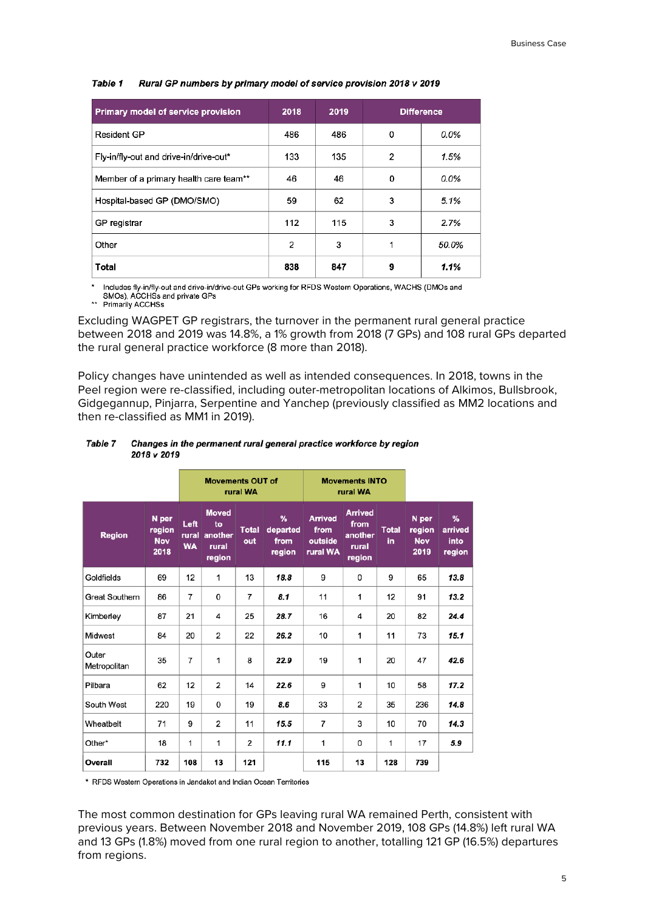#### Table 1 Rural GP numbers by primary model of service provision 2018 v 2019

| Primary model of service provision     | 2018 | 2019 | <b>Difference</b> |         |
|----------------------------------------|------|------|-------------------|---------|
| Resident GP                            | 486  | 486  | 0                 | $0.0\%$ |
| Fly-in/fly-out and drive-in/drive-out* | 133  | 135  | 2                 | 1.5%    |
| Member of a primary health care team** | 46   | 46   | 0                 | $0.0\%$ |
| Hospital-based GP (DMO/SMO)            | 59   | 62   | 3                 | 5.1%    |
| GP registrar                           | 112  | 115  | 3                 | 2.7%    |
| Other                                  | 2    | 3    |                   | 50.0%   |
| Total                                  | 838  | 847  | 9                 | 1.1%    |

Includes fly-in/fly-out and drive-in/drive-out GPs working for RFDS Western Operations, WACHS (DMOs and SMOs), ACCHSs and private GPs  $\star\star$ 

Primarily ACCHSs

Excluding WAGPET GP registrars, the turnover in the permanent rural general practice between 2018 and 2019 was 14.8%, a 1% growth from 2018 (7 GPs) and 108 rural GPs departed the rural general practice workforce (8 more than 2018).

Policy changes have unintended as well as intended consequences. In 2018, towns in the Peel region were re-classified, including outer-metropolitan locations of Alkimos, Bullsbrook, Gidgegannup, Pinjarra, Serpentine and Yanchep (previously classified as MM2 locations and then re-classified as MM1 in 2019).

|                       |                                       |                                   | <b>Movements OUT of</b>                          | rural WA            |                                 |                                               | <b>Movements INTO</b><br>rural WA                    |                     |                                       |                                |
|-----------------------|---------------------------------------|-----------------------------------|--------------------------------------------------|---------------------|---------------------------------|-----------------------------------------------|------------------------------------------------------|---------------------|---------------------------------------|--------------------------------|
| <b>Region</b>         | N per<br>region<br><b>Nov</b><br>2018 | Left<br><b>rural</b><br><b>WA</b> | <b>Moved</b><br>to<br>another<br>rural<br>region | <b>Total</b><br>out | %<br>departed<br>from<br>region | <b>Arrived</b><br>from<br>outside<br>rural WA | <b>Arrived</b><br>from<br>another<br>rural<br>region | <b>Total</b><br>in. | N per<br>region<br><b>Nov</b><br>2019 | %<br>arrived<br>into<br>region |
| Goldfields            | 69                                    | 12                                | 1                                                | 13                  | 18.8                            | 9                                             | 0                                                    | 9                   | 65                                    | 13.8                           |
| <b>Great Southern</b> | 86                                    | $\overline{7}$                    | 0                                                | 7                   | 8.1                             | 11                                            | 1                                                    | 12                  | 91                                    | 13.2                           |
| Kimberley             | 87                                    | 21                                | 4                                                | 25                  | 28.7                            | 16                                            | 4                                                    | 20                  | 82                                    | 24.4                           |
| Midwest               | 84                                    | 20                                | 2                                                | 22                  | 26.2                            | 10                                            | 1                                                    | 11                  | 73                                    | 15.1                           |
| Outer<br>Metropolitan | 35                                    | $\overline{7}$                    | 1                                                | 8                   | 22.9                            | 19                                            | 1                                                    | 20                  | 47                                    | 42.6                           |
| Pilbara               | 62                                    | 12                                | 2                                                | 14                  | 22.6                            | 9                                             | 1                                                    | 10                  | 58                                    | 17.2                           |
| South West            | 220                                   | 19                                | 0                                                | 19                  | 8.6                             | 33                                            | $\overline{2}$                                       | 35                  | 236                                   | 14.8                           |
| Wheatbelt             | 71                                    | 9                                 | 2                                                | 11                  | 15.5                            | 7                                             | 3                                                    | 10                  | 70                                    | 14.3                           |
| Other*                | 18                                    | 1                                 | 1                                                | 2                   | 11.1                            | 1                                             | 0                                                    | 1                   | 17                                    | 5.9                            |
| Overall               | 732                                   | 108                               | 13                                               | 121                 |                                 | 115                                           | 13                                                   | 128                 | 739                                   |                                |

#### Table 7 Changes in the permanent rural general practice workforce by region 2018 v 2019

\* RFDS Western Operations in Jandakot and Indian Ocean Territories

The most common destination for GPs leaving rural WA remained Perth, consistent with previous years. Between November 2018 and November 2019, 108 GPs (14.8%) left rural WA and 13 GPs (1.8%) moved from one rural region to another, totalling 121 GP (16.5%) departures from regions.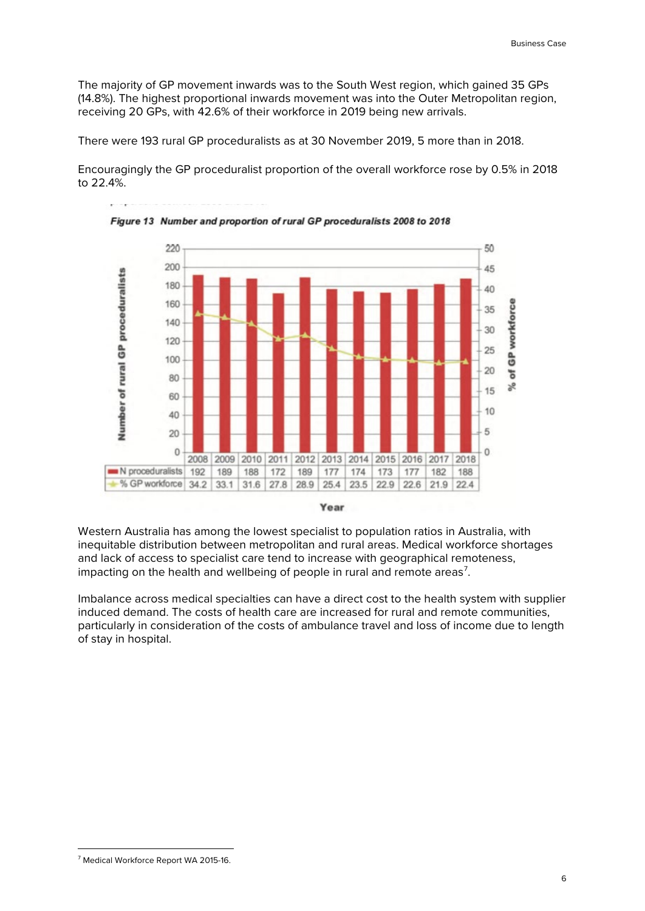The majority of GP movement inwards was to the South West region, which gained 35 GPs (14.8%). The highest proportional inwards movement was into the Outer Metropolitan region, receiving 20 GPs, with 42.6% of their workforce in 2019 being new arrivals.

There were 193 rural GP proceduralists as at 30 November 2019, 5 more than in 2018.

Encouragingly the GP proceduralist proportion of the overall workforce rose by 0.5% in 2018 to 22.4%.



Figure 13 Number and proportion of rural GP proceduralists 2008 to 2018

Year

Western Australia has among the lowest specialist to population ratios in Australia, with inequitable distribution between metropolitan and rural areas. Medical workforce shortages and lack of access to specialist care tend to increase with geographical remoteness, impacting on the health and wellbeing of people in rural and remote areas<sup>[7](#page-5-0)</sup>.

Imbalance across medical specialties can have a direct cost to the health system with supplier induced demand. The costs of health care are increased for rural and remote communities, particularly in consideration of the costs of ambulance travel and loss of income due to length of stay in hospital.

<span id="page-5-0"></span>**<sup>.</sup>** <sup>7</sup> Medical Workforce Report WA 2015-16.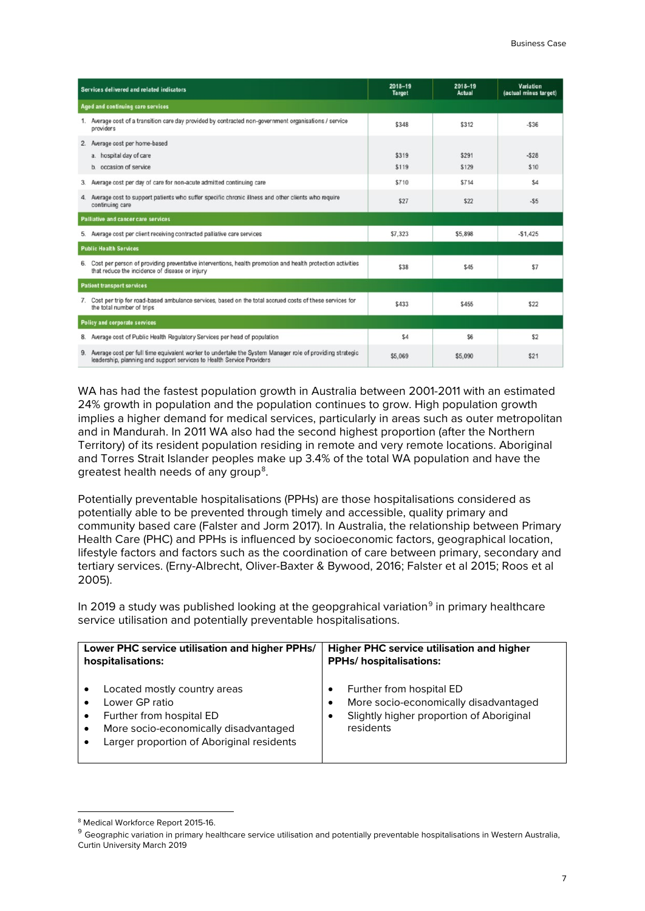|    | Services delivered and related indicators                                                                                                                                         | 2018-19<br><b>Target</b> | 2018-19<br>Actual     | Variation<br>(actual minus target) |
|----|-----------------------------------------------------------------------------------------------------------------------------------------------------------------------------------|--------------------------|-----------------------|------------------------------------|
|    | Aged and continuing care services                                                                                                                                                 |                          |                       |                                    |
|    | 1. Average cost of a transition care day provided by contracted non-government organisations / service<br>providers                                                               | \$348                    | \$312                 | $-$ \$36                           |
| 2. | Average cost per home-based<br>a. hospital day of care<br>b. occasion of service                                                                                                  | \$319<br>\$119           | <b>\$291</b><br>\$129 | $-S28$<br>\$10                     |
| 3. | Average cost per day of care for non-acute admitted continuing care                                                                                                               | \$710                    | \$714                 | \$4                                |
| 4. | Average cost to support patients who suffer specific chronic illness and other clients who require<br>continuing care                                                             | \$27                     | \$22                  | $-55$                              |
|    | <b>Palliative and cancer care services</b>                                                                                                                                        |                          |                       |                                    |
| 5. | Average cost per client receiving contracted palliative care services                                                                                                             | \$7,323                  | \$5.898               | $-$1.425$                          |
|    | <b>Public Health Services</b>                                                                                                                                                     |                          |                       |                                    |
|    | 6. Cost per person of providing preventative interventions, health promotion and health protection activities<br>that reduce the incidence of disease or injury                   | \$38                     | \$45                  | \$7                                |
|    | <b>Patient transport services</b>                                                                                                                                                 |                          |                       |                                    |
|    | 7. Cost per trip for road-based ambulance services, based on the total accrued costs of these services for<br>the total number of trips                                           | \$433                    | \$455                 | \$22                               |
|    | <b>Policy and corporate services</b>                                                                                                                                              |                          |                       |                                    |
| 8. | Average cost of Public Health Regulatory Services per head of population                                                                                                          | \$4                      | \$6                   | \$2                                |
| 9. | Average cost per full time equivalent worker to undertake the System Manager role of providing strategic<br>leadership, planning and support services to Health Service Providers | \$5.069                  | \$5,090               | \$21                               |

WA has had the fastest population growth in Australia between 2001-2011 with an estimated 24% growth in population and the population continues to grow. High population growth implies a higher demand for medical services, particularly in areas such as outer metropolitan and in Mandurah. In 2011 WA also had the second highest proportion (after the Northern Territory) of its resident population residing in remote and very remote locations. Aboriginal and Torres Strait Islander peoples make up 3.4% of the total WA population and have the greatest health needs of any group $^{\rm 8}$  $^{\rm 8}$  $^{\rm 8}$ .

Potentially preventable hospitalisations (PPHs) are those hospitalisations considered as potentially able to be prevented through timely and accessible, quality primary and community based care (Falster and Jorm 2017). In Australia, the relationship between Primary Health Care (PHC) and PPHs is influenced by socioeconomic factors, geographical location, lifestyle factors and factors such as the coordination of care between primary, secondary and tertiary services. (Erny-Albrecht, Oliver-Baxter & Bywood, 2016; Falster et al 2015; Roos et al 2005).

In 201[9](#page-6-1) a study was published looking at the geopgrahical variation<sup>9</sup> in primary healthcare service utilisation and potentially preventable hospitalisations.

| Lower PHC service utilisation and higher PPHs/                                                                                                                   | <b>Higher PHC service utilisation and higher</b>                                                                           |
|------------------------------------------------------------------------------------------------------------------------------------------------------------------|----------------------------------------------------------------------------------------------------------------------------|
| hospitalisations:                                                                                                                                                | <b>PPHs/hospitalisations:</b>                                                                                              |
| Located mostly country areas<br>Lower GP ratio<br>Further from hospital ED<br>More socio-economically disadvantaged<br>Larger proportion of Aboriginal residents | Further from hospital ED<br>More socio-economically disadvantaged<br>Slightly higher proportion of Aboriginal<br>residents |

<span id="page-6-0"></span><sup>&</sup>lt;u>.</u> <sup>8</sup> Medical Workforce Report 2015-16.

<span id="page-6-1"></span><sup>&</sup>lt;sup>9</sup> Geographic variation in primary healthcare service utilisation and potentially preventable hospitalisations in Western Australia, Curtin University March 2019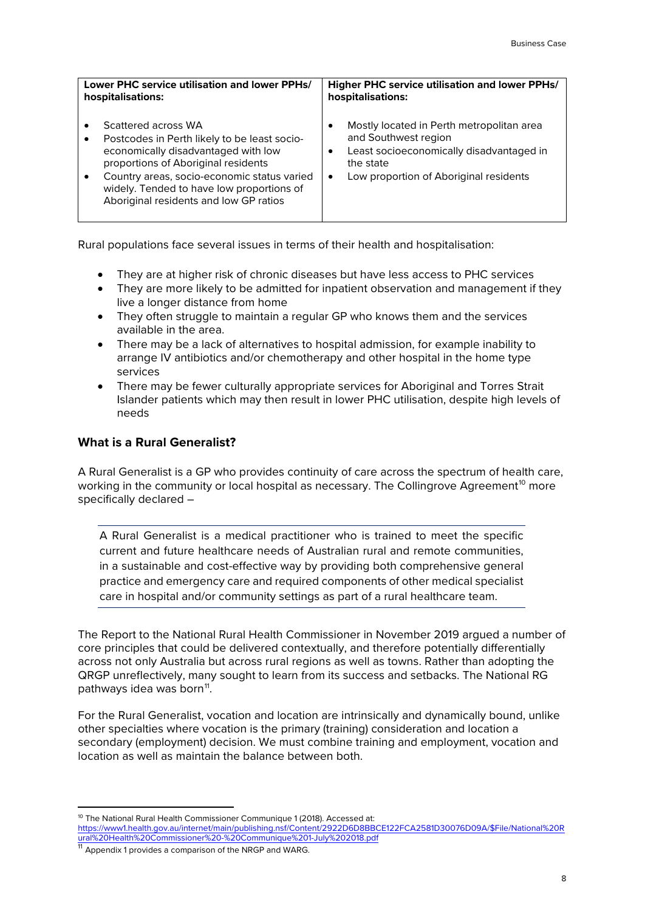| Lower PHC service utilisation and lower PPHs/ | <b>Higher PHC service utilisation and lower PPHs/</b> |  |  |  |  |  |
|-----------------------------------------------|-------------------------------------------------------|--|--|--|--|--|
| hospitalisations:                             | hospitalisations:                                     |  |  |  |  |  |
| Scattered across WA                           | Mostly located in Perth metropolitan area             |  |  |  |  |  |
| Postcodes in Perth likely to be least socio-  | $\bullet$                                             |  |  |  |  |  |
| economically disadvantaged with low           | and Southwest region                                  |  |  |  |  |  |
| proportions of Aboriginal residents           | Least socioeconomically disadvantaged in              |  |  |  |  |  |
| Country areas, socio-economic status varied   | the state                                             |  |  |  |  |  |
| widely. Tended to have low proportions of     | Low proportion of Aboriginal residents                |  |  |  |  |  |
| Aboriginal residents and low GP ratios        | $\bullet$                                             |  |  |  |  |  |

Rural populations face several issues in terms of their health and hospitalisation:

- They are at higher risk of chronic diseases but have less access to PHC services
- They are more likely to be admitted for inpatient observation and management if they live a longer distance from home
- They often struggle to maintain a regular GP who knows them and the services available in the area.
- There may be a lack of alternatives to hospital admission, for example inability to arrange IV antibiotics and/or chemotherapy and other hospital in the home type services
- There may be fewer culturally appropriate services for Aboriginal and Torres Strait Islander patients which may then result in lower PHC utilisation, despite high levels of needs

### **What is a Rural Generalist?**

A Rural Generalist is a GP who provides continuity of care across the spectrum of health care, working in the community or local hospital as necessary. The Collingrove Agreement<sup>[10](#page-7-0)</sup> more specifically declared –

A Rural Generalist is a medical practitioner who is trained to meet the specific current and future healthcare needs of Australian rural and remote communities, in a sustainable and cost-effective way by providing both comprehensive general practice and emergency care and required components of other medical specialist care in hospital and/or community settings as part of a rural healthcare team.

The Report to the National Rural Health Commissioner in November 2019 argued a number of core principles that could be delivered contextually, and therefore potentially differentially across not only Australia but across rural regions as well as towns. Rather than adopting the QRGP unreflectively, many sought to learn from its success and setbacks. The National RG pathways idea was born<sup>[11](#page-7-1)</sup>.

For the Rural Generalist, vocation and location are intrinsically and dynamically bound, unlike other specialties where vocation is the primary (training) consideration and location a secondary (employment) decision. We must combine training and employment, vocation and location as well as maintain the balance between both.

<u>.</u>

<span id="page-7-0"></span><sup>&</sup>lt;sup>10</sup> The National Rural Health Commissioner Communique 1 (2018). Accessed at:

[https://www1.health.gov.au/internet/main/publishing.nsf/Content/2922D6D8BBCE122FCA2581D30076D09A/\\$File/National%20R](https://www1.health.gov.au/internet/main/publishing.nsf/Content/2922D6D8BBCE122FCA2581D30076D09A/$File/National%20Rural%20Health%20Commissioner%20-%20Communique%201-July%202018.pdf) [ural%20Health%20Commissioner%20-%20Communique%201-July%202018.pdf](https://www1.health.gov.au/internet/main/publishing.nsf/Content/2922D6D8BBCE122FCA2581D30076D09A/$File/National%20Rural%20Health%20Commissioner%20-%20Communique%201-July%202018.pdf)

<span id="page-7-1"></span> $11$  Appendix 1 provides a comparison of the NRGP and WARG.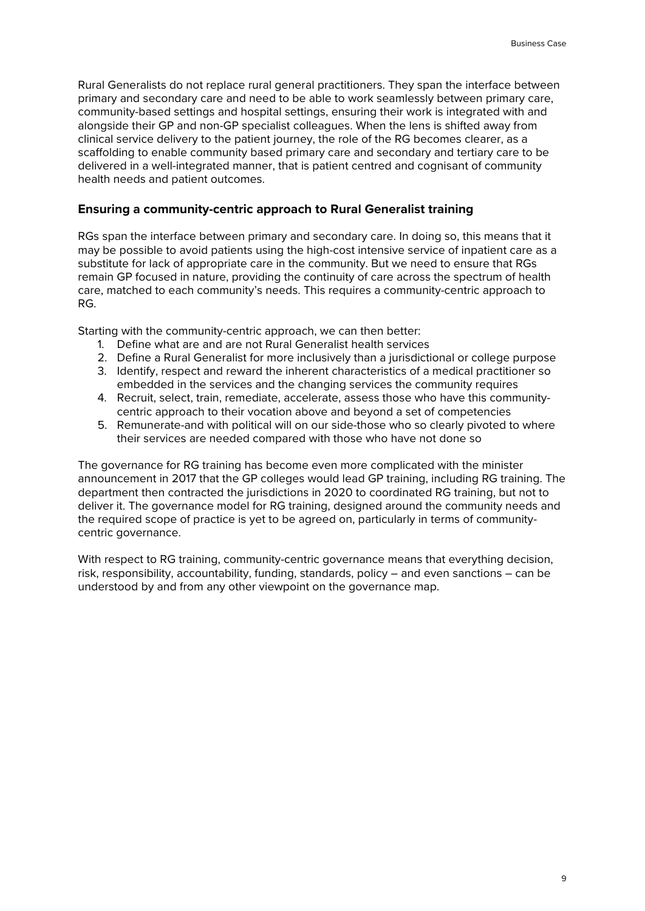Rural Generalists do not replace rural general practitioners. They span the interface between primary and secondary care and need to be able to work seamlessly between primary care, community-based settings and hospital settings, ensuring their work is integrated with and alongside their GP and non-GP specialist colleagues. When the lens is shifted away from clinical service delivery to the patient journey, the role of the RG becomes clearer, as a scaffolding to enable community based primary care and secondary and tertiary care to be delivered in a well-integrated manner, that is patient centred and cognisant of community health needs and patient outcomes.

#### **Ensuring a community-centric approach to Rural Generalist training**

RGs span the interface between primary and secondary care. In doing so, this means that it may be possible to avoid patients using the high-cost intensive service of inpatient care as a substitute for lack of appropriate care in the community. But we need to ensure that RGs remain GP focused in nature, providing the continuity of care across the spectrum of health care, matched to each community's needs. This requires a community-centric approach to RG.

Starting with the community-centric approach, we can then better:

- 1. Define what are and are not Rural Generalist health services
- 2. Define a Rural Generalist for more inclusively than a jurisdictional or college purpose
- 3. Identify, respect and reward the inherent characteristics of a medical practitioner so embedded in the services and the changing services the community requires
- 4. Recruit, select, train, remediate, accelerate, assess those who have this communitycentric approach to their vocation above and beyond a set of competencies
- 5. Remunerate-and with political will on our side-those who so clearly pivoted to where their services are needed compared with those who have not done so

The governance for RG training has become even more complicated with the minister announcement in 2017 that the GP colleges would lead GP training, including RG training. The department then contracted the jurisdictions in 2020 to coordinated RG training, but not to deliver it. The governance model for RG training, designed around the community needs and the required scope of practice is yet to be agreed on, particularly in terms of communitycentric governance.

With respect to RG training, community-centric governance means that everything decision, risk, responsibility, accountability, funding, standards, policy – and even sanctions – can be understood by and from any other viewpoint on the governance map.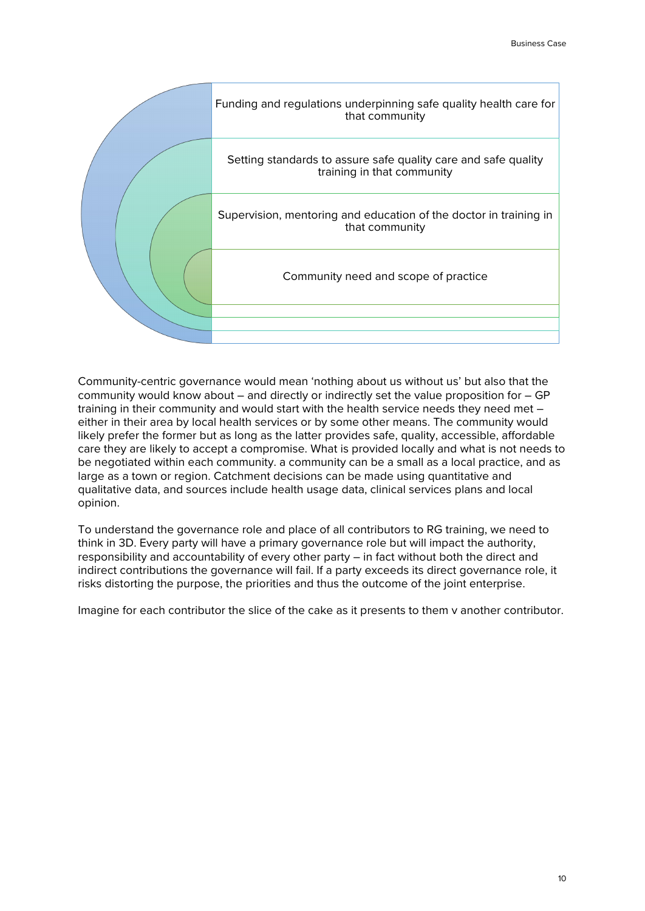

Community-centric governance would mean 'nothing about us without us' but also that the community would know about – and directly or indirectly set the value proposition for – GP training in their community and would start with the health service needs they need met – either in their area by local health services or by some other means. The community would likely prefer the former but as long as the latter provides safe, quality, accessible, affordable care they are likely to accept a compromise. What is provided locally and what is not needs to be negotiated within each community. a community can be a small as a local practice, and as large as a town or region. Catchment decisions can be made using quantitative and qualitative data, and sources include health usage data, clinical services plans and local opinion.

To understand the governance role and place of all contributors to RG training, we need to think in 3D. Every party will have a primary governance role but will impact the authority, responsibility and accountability of every other party – in fact without both the direct and indirect contributions the governance will fail. If a party exceeds its direct governance role, it risks distorting the purpose, the priorities and thus the outcome of the joint enterprise.

Imagine for each contributor the slice of the cake as it presents to them v another contributor.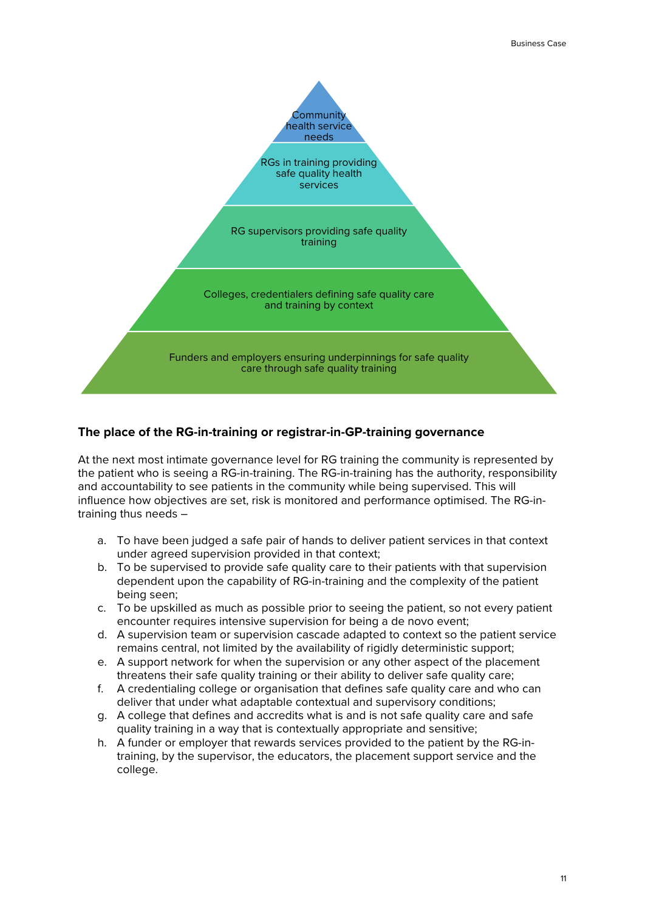

#### **The place of the RG-in-training or registrar-in-GP-training governance**

At the next most intimate governance level for RG training the community is represented by the patient who is seeing a RG-in-training. The RG-in-training has the authority, responsibility and accountability to see patients in the community while being supervised. This will influence how objectives are set, risk is monitored and performance optimised. The RG-intraining thus needs –

- a. To have been judged a safe pair of hands to deliver patient services in that context under agreed supervision provided in that context;
- b. To be supervised to provide safe quality care to their patients with that supervision dependent upon the capability of RG-in-training and the complexity of the patient being seen;
- c. To be upskilled as much as possible prior to seeing the patient, so not every patient encounter requires intensive supervision for being a de novo event;
- d. A supervision team or supervision cascade adapted to context so the patient service remains central, not limited by the availability of rigidly deterministic support;
- e. A support network for when the supervision or any other aspect of the placement threatens their safe quality training or their ability to deliver safe quality care;
- f. A credentialing college or organisation that defines safe quality care and who can deliver that under what adaptable contextual and supervisory conditions;
- g. A college that defines and accredits what is and is not safe quality care and safe quality training in a way that is contextually appropriate and sensitive;
- h. A funder or employer that rewards services provided to the patient by the RG-intraining, by the supervisor, the educators, the placement support service and the college.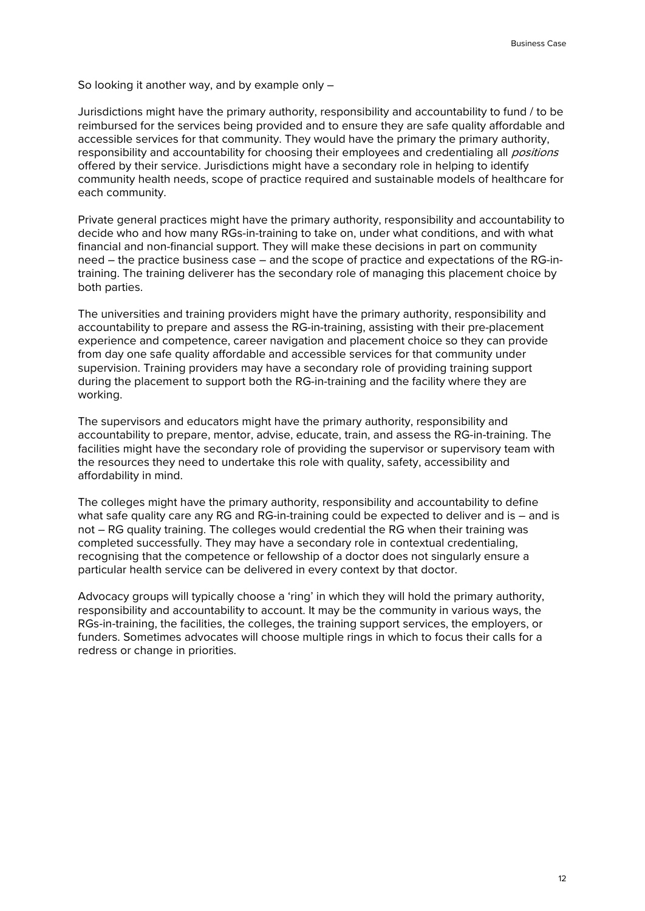So looking it another way, and by example only –

Jurisdictions might have the primary authority, responsibility and accountability to fund / to be reimbursed for the services being provided and to ensure they are safe quality affordable and accessible services for that community. They would have the primary the primary authority, responsibility and accountability for choosing their employees and credentialing all *positions* offered by their service. Jurisdictions might have a secondary role in helping to identify community health needs, scope of practice required and sustainable models of healthcare for each community.

Private general practices might have the primary authority, responsibility and accountability to decide who and how many RGs-in-training to take on, under what conditions, and with what financial and non-financial support. They will make these decisions in part on community need – the practice business case – and the scope of practice and expectations of the RG-intraining. The training deliverer has the secondary role of managing this placement choice by both parties.

The universities and training providers might have the primary authority, responsibility and accountability to prepare and assess the RG-in-training, assisting with their pre-placement experience and competence, career navigation and placement choice so they can provide from day one safe quality affordable and accessible services for that community under supervision. Training providers may have a secondary role of providing training support during the placement to support both the RG-in-training and the facility where they are working.

The supervisors and educators might have the primary authority, responsibility and accountability to prepare, mentor, advise, educate, train, and assess the RG-in-training. The facilities might have the secondary role of providing the supervisor or supervisory team with the resources they need to undertake this role with quality, safety, accessibility and affordability in mind.

The colleges might have the primary authority, responsibility and accountability to define what safe quality care any RG and RG-in-training could be expected to deliver and is – and is not – RG quality training. The colleges would credential the RG when their training was completed successfully. They may have a secondary role in contextual credentialing, recognising that the competence or fellowship of a doctor does not singularly ensure a particular health service can be delivered in every context by that doctor.

Advocacy groups will typically choose a 'ring' in which they will hold the primary authority, responsibility and accountability to account. It may be the community in various ways, the RGs-in-training, the facilities, the colleges, the training support services, the employers, or funders. Sometimes advocates will choose multiple rings in which to focus their calls for a redress or change in priorities.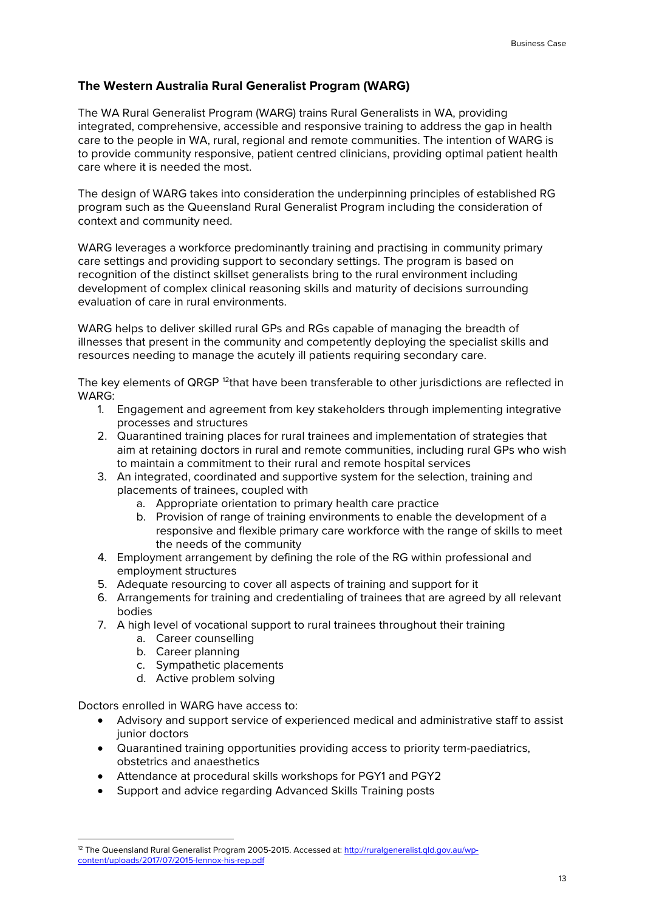## **The Western Australia Rural Generalist Program (WARG)**

The WA Rural Generalist Program (WARG) trains Rural Generalists in WA, providing integrated, comprehensive, accessible and responsive training to address the gap in health care to the people in WA, rural, regional and remote communities. The intention of WARG is to provide community responsive, patient centred clinicians, providing optimal patient health care where it is needed the most.

The design of WARG takes into consideration the underpinning principles of established RG program such as the Queensland Rural Generalist Program including the consideration of context and community need.

WARG leverages a workforce predominantly training and practising in community primary care settings and providing support to secondary settings. The program is based on recognition of the distinct skillset generalists bring to the rural environment including development of complex clinical reasoning skills and maturity of decisions surrounding evaluation of care in rural environments.

WARG helps to deliver skilled rural GPs and RGs capable of managing the breadth of illnesses that present in the community and competently deploying the specialist skills and resources needing to manage the acutely ill patients requiring secondary care.

The key elements of QRGP <sup>12</sup>that have been transferable to other jurisdictions are reflected in WARG:

- 1. Engagement and agreement from key stakeholders through implementing integrative processes and structures
- 2. Quarantined training places for rural trainees and implementation of strategies that aim at retaining doctors in rural and remote communities, including rural GPs who wish to maintain a commitment to their rural and remote hospital services
- 3. An integrated, coordinated and supportive system for the selection, training and placements of trainees, coupled with
	- a. Appropriate orientation to primary health care practice
	- b. Provision of range of training environments to enable the development of a responsive and flexible primary care workforce with the range of skills to meet the needs of the community
- 4. Employment arrangement by defining the role of the RG within professional and employment structures
- 5. Adequate resourcing to cover all aspects of training and support for it
- 6. Arrangements for training and credentialing of trainees that are agreed by all relevant bodies
- 7. A high level of vocational support to rural trainees throughout their training
	- a. Career counselling
	- b. Career planning
	- c. Sympathetic placements
	- d. Active problem solving

Doctors enrolled in WARG have access to:

**.** 

- Advisory and support service of experienced medical and administrative staff to assist junior doctors
- Quarantined training opportunities providing access to priority term-paediatrics, obstetrics and anaesthetics
- Attendance at procedural skills workshops for PGY1 and PGY2
- Support and advice regarding Advanced Skills Training posts

<span id="page-12-0"></span><sup>&</sup>lt;sup>12</sup> The Queensland Rural Generalist Program 2005-2015. Accessed at: [http://ruralgeneralist.qld.gov.au/wp](http://ruralgeneralist.qld.gov.au/wp-content/uploads/2017/07/2015-lennox-his-rep.pdf)[content/uploads/2017/07/2015-lennox-his-rep.pdf](http://ruralgeneralist.qld.gov.au/wp-content/uploads/2017/07/2015-lennox-his-rep.pdf)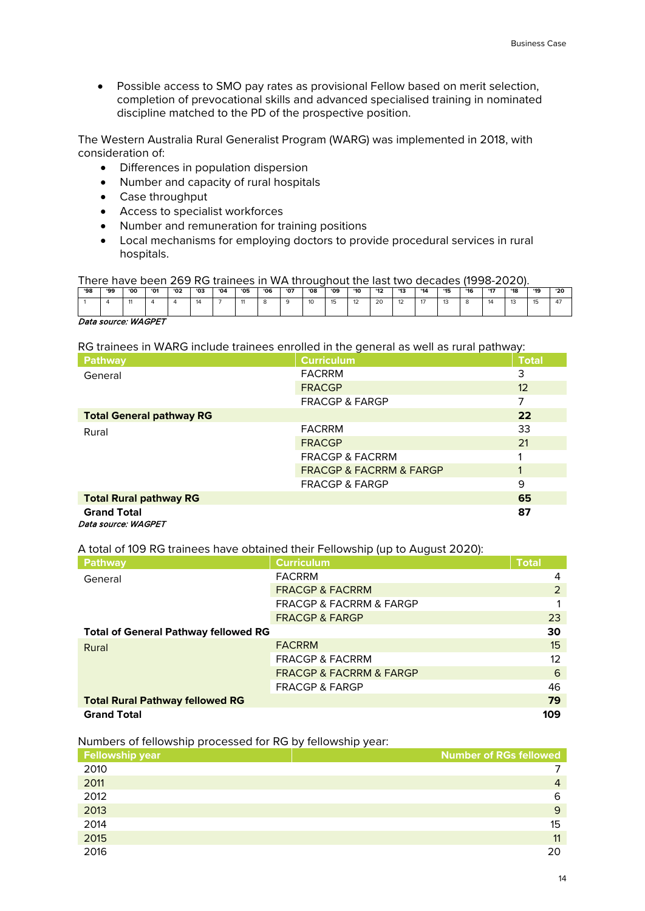• Possible access to SMO pay rates as provisional Fellow based on merit selection, completion of prevocational skills and advanced specialised training in nominated discipline matched to the PD of the prospective position.

The Western Australia Rural Generalist Program (WARG) was implemented in 2018, with consideration of:

- Differences in population dispersion<br>• Number and capacity of rural hospita
- Number and capacity of rural hospitals
- Case throughput
- Access to specialist workforces
- Number and remuneration for training positions
- Local mechanisms for employing doctors to provide procedural services in rural hospitals.

| There,     |            |            |            | $\pm$ have been 269 RG trainees in WA throughout the last two decades ( |     |               |            |            |            |            |     |               |    |       |      |         |            | (1998-2020) |     |            |               |
|------------|------------|------------|------------|-------------------------------------------------------------------------|-----|---------------|------------|------------|------------|------------|-----|---------------|----|-------|------|---------|------------|-------------|-----|------------|---------------|
| <b>'98</b> | <b>'99</b> | <b>'00</b> | <b>'01</b> | <b>'02</b>                                                              | '03 | $^{\circ}$ 04 | <b>'05</b> | <b>'06</b> | <b>'07</b> | <b>'08</b> | 09' | $^{\circ}$ 10 | 42 | $^43$ | $^4$ | $^4$ 15 | <b>'16</b> | <b>'17</b>  | '18 | <b>'19</b> | $^{\prime}20$ |
|            |            |            |            |                                                                         |     |               |            |            |            |            |     |               | 20 |       | ш    |         |            |             |     |            | $4^{\circ}$   |

#### Data source: WAGPET

RG trainees in WARG include trainees enrolled in the general as well as rural pathway:

| <b>Pathway</b>                  | <b>Curriculum</b>                      | <b>Total</b> |
|---------------------------------|----------------------------------------|--------------|
| General                         | <b>FACRRM</b>                          | 3            |
|                                 | <b>FRACGP</b>                          | 12           |
|                                 | <b>FRACGP &amp; FARGP</b>              | 7            |
| <b>Total General pathway RG</b> |                                        | 22           |
| Rural                           | <b>FACRRM</b>                          | 33           |
|                                 | <b>FRACGP</b>                          | 21           |
|                                 | <b>FRACGP &amp; FACRRM</b>             |              |
|                                 | <b>FRACGP &amp; FACRRM &amp; FARGP</b> | $\mathbf{1}$ |
|                                 | <b>FRACGP &amp; FARGP</b>              | 9            |
| <b>Total Rural pathway RG</b>   |                                        | 65           |
| <b>Grand Total</b>              |                                        | 87           |

Data source: WAGPET

A total of 109 RG trainees have obtained their Fellowship (up to August 2020):

| <b>Pathway</b>                              | <b>Curriculum</b>                      | <b>Total</b>      |
|---------------------------------------------|----------------------------------------|-------------------|
| General                                     | <b>FACRRM</b>                          | 4                 |
|                                             | <b>FRACGP &amp; FACRRM</b>             | 2                 |
|                                             | <b>FRACGP &amp; FACRRM &amp; FARGP</b> |                   |
|                                             | <b>FRACGP &amp; FARGP</b>              | 23                |
| <b>Total of General Pathway fellowed RG</b> |                                        | 30                |
| Rural                                       | <b>FACRRM</b>                          | 15                |
|                                             | <b>FRACGP &amp; FACRRM</b>             | $12 \overline{ }$ |
|                                             | <b>FRACGP &amp; FACRRM &amp; FARGP</b> | 6                 |
|                                             | <b>FRACGP &amp; FARGP</b>              | 46                |
| <b>Total Rural Pathway fellowed RG</b>      |                                        | 79                |
| <b>Grand Total</b>                          |                                        | 109               |

#### Numbers of fellowship processed for RG by fellowship year:

| <b>Fellowship year</b> | <b>Number of RGs fellowed</b> |
|------------------------|-------------------------------|
| 2010                   |                               |
| 2011                   | $\overline{4}$                |
| 2012                   | 6                             |
| 2013                   | 9                             |
| 2014                   | 15 <sub>2</sub>               |
| 2015                   | 11                            |
| 2016                   | 20                            |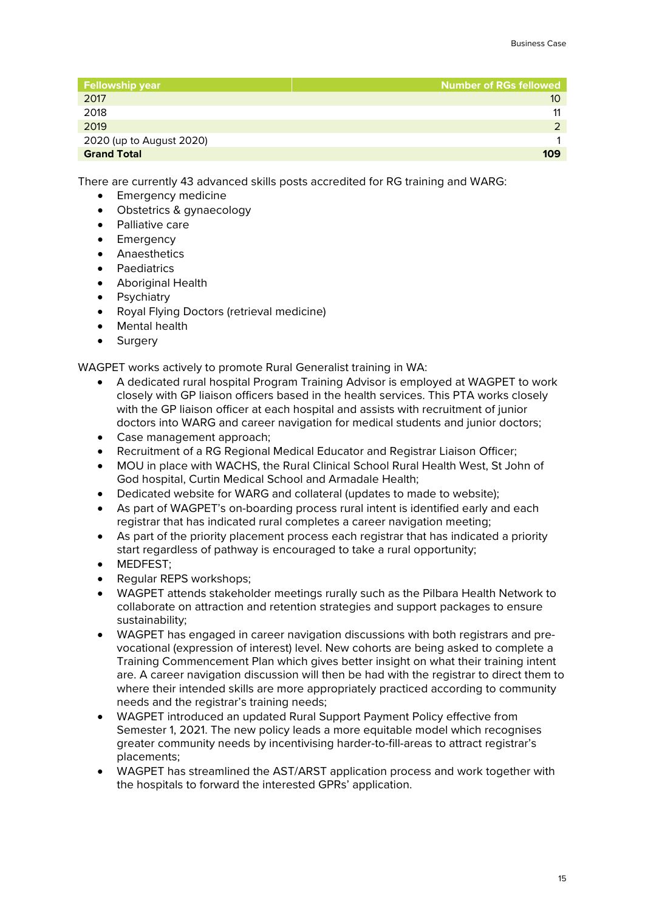| <b>Fellowship year</b>   | <b>Number of RGs fellowed</b> |
|--------------------------|-------------------------------|
| 2017                     | 10                            |
| 2018                     | 11                            |
| 2019                     |                               |
| 2020 (up to August 2020) |                               |
| <b>Grand Total</b>       | 109                           |

There are currently 43 advanced skills posts accredited for RG training and WARG:

- Emergency medicine
- Obstetrics & gynaecology
- Palliative care
- Emergency
- Anaesthetics
- Paediatrics
- Aboriginal Health
- Psychiatry
- Royal Flying Doctors (retrieval medicine)
- Mental health
- Surgery

WAGPET works actively to promote Rural Generalist training in WA:

- A dedicated rural hospital Program Training Advisor is employed at WAGPET to work closely with GP liaison officers based in the health services. This PTA works closely with the GP liaison officer at each hospital and assists with recruitment of junior doctors into WARG and career navigation for medical students and junior doctors;
- Case management approach;
- Recruitment of a RG Regional Medical Educator and Registrar Liaison Officer;
- MOU in place with WACHS, the Rural Clinical School Rural Health West, St John of God hospital, Curtin Medical School and Armadale Health;
- Dedicated website for WARG and collateral (updates to made to website);
- As part of WAGPET's on-boarding process rural intent is identified early and each registrar that has indicated rural completes a career navigation meeting;
- As part of the priority placement process each registrar that has indicated a priority start regardless of pathway is encouraged to take a rural opportunity;
- MEDFEST;
- Regular REPS workshops;
- WAGPET attends stakeholder meetings rurally such as the Pilbara Health Network to collaborate on attraction and retention strategies and support packages to ensure sustainability;
- WAGPET has engaged in career navigation discussions with both registrars and prevocational (expression of interest) level. New cohorts are being asked to complete a Training Commencement Plan which gives better insight on what their training intent are. A career navigation discussion will then be had with the registrar to direct them to where their intended skills are more appropriately practiced according to community needs and the registrar's training needs;
- WAGPET introduced an updated Rural Support Payment Policy effective from Semester 1, 2021. The new policy leads a more equitable model which recognises greater community needs by incentivising harder-to-fill-areas to attract registrar's placements;
- WAGPET has streamlined the AST/ARST application process and work together with the hospitals to forward the interested GPRs' application.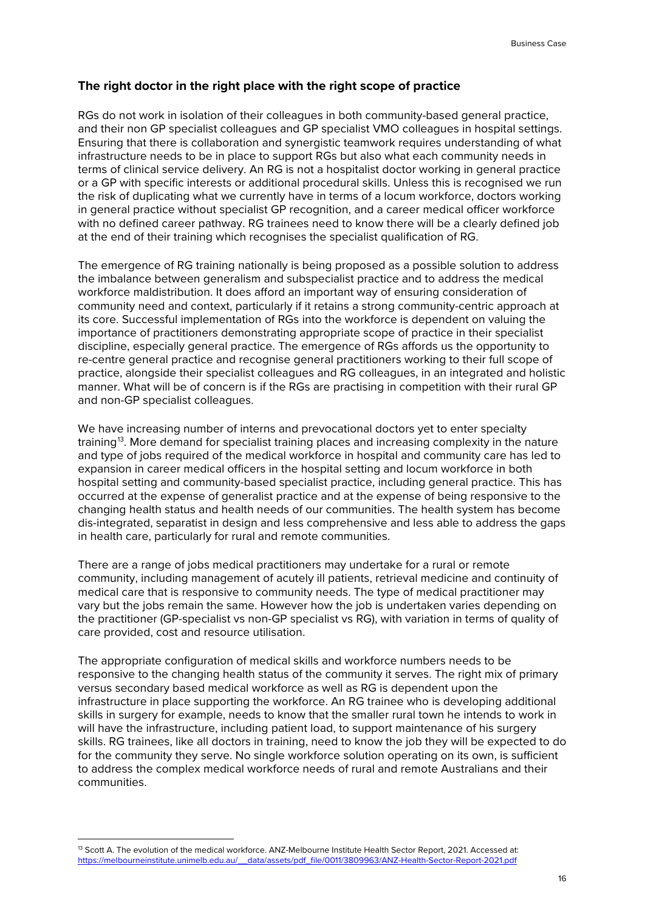### **The right doctor in the right place with the right scope of practice**

RGs do not work in isolation of their colleagues in both community-based general practice, and their non GP specialist colleagues and GP specialist VMO colleagues in hospital settings. Ensuring that there is collaboration and synergistic teamwork requires understanding of what infrastructure needs to be in place to support RGs but also what each community needs in terms of clinical service delivery. An RG is not a hospitalist doctor working in general practice or a GP with specific interests or additional procedural skills. Unless this is recognised we run the risk of duplicating what we currently have in terms of a locum workforce, doctors working in general practice without specialist GP recognition, and a career medical officer workforce with no defined career pathway. RG trainees need to know there will be a clearly defined job at the end of their training which recognises the specialist qualification of RG.

The emergence of RG training nationally is being proposed as a possible solution to address the imbalance between generalism and subspecialist practice and to address the medical workforce maldistribution. It does afford an important way of ensuring consideration of community need and context, particularly if it retains a strong community-centric approach at its core. Successful implementation of RGs into the workforce is dependent on valuing the importance of practitioners demonstrating appropriate scope of practice in their specialist discipline, especially general practice. The emergence of RGs affords us the opportunity to re-centre general practice and recognise general practitioners working to their full scope of practice, alongside their specialist colleagues and RG colleagues, in an integrated and holistic manner. What will be of concern is if the RGs are practising in competition with their rural GP and non-GP specialist colleagues.

We have increasing number of interns and prevocational doctors yet to enter specialty training<sup>[13](#page-15-0)</sup>. More demand for specialist training places and increasing complexity in the nature and type of jobs required of the medical workforce in hospital and community care has led to expansion in career medical officers in the hospital setting and locum workforce in both hospital setting and community-based specialist practice, including general practice. This has occurred at the expense of generalist practice and at the expense of being responsive to the changing health status and health needs of our communities. The health system has become dis-integrated, separatist in design and less comprehensive and less able to address the gaps in health care, particularly for rural and remote communities.

There are a range of jobs medical practitioners may undertake for a rural or remote community, including management of acutely ill patients, retrieval medicine and continuity of medical care that is responsive to community needs. The type of medical practitioner may vary but the jobs remain the same. However how the job is undertaken varies depending on the practitioner (GP-specialist vs non-GP specialist vs RG), with variation in terms of quality of care provided, cost and resource utilisation.

The appropriate configuration of medical skills and workforce numbers needs to be responsive to the changing health status of the community it serves. The right mix of primary versus secondary based medical workforce as well as RG is dependent upon the infrastructure in place supporting the workforce. An RG trainee who is developing additional skills in surgery for example, needs to know that the smaller rural town he intends to work in will have the infrastructure, including patient load, to support maintenance of his surgery skills. RG trainees, like all doctors in training, need to know the job they will be expected to do for the community they serve. No single workforce solution operating on its own, is sufficient to address the complex medical workforce needs of rural and remote Australians and their communities.

<span id="page-15-0"></span>**<sup>.</sup>** <sup>13</sup> Scott A. The evolution of the medical workforce. ANZ-Melbourne Institute Health Sector Report, 2021. Accessed at: [https://melbourneinstitute.unimelb.edu.au/\\_\\_data/assets/pdf\\_file/0011/3809963/ANZ-Health-Sector-Report-2021.pdf](https://melbourneinstitute.unimelb.edu.au/__data/assets/pdf_file/0011/3809963/ANZ-Health-Sector-Report-2021.pdf)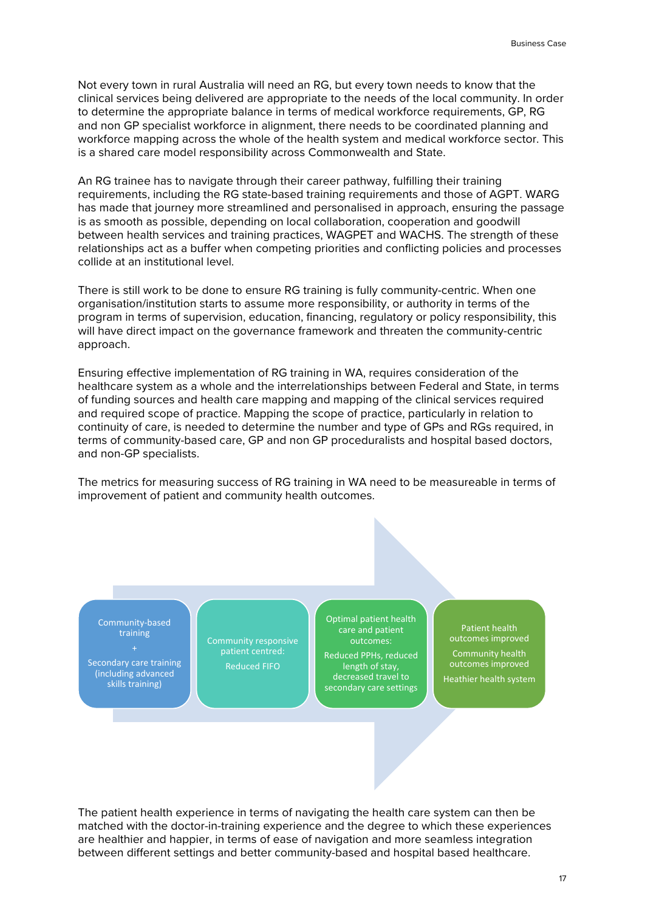Not every town in rural Australia will need an RG, but every town needs to know that the clinical services being delivered are appropriate to the needs of the local community. In order to determine the appropriate balance in terms of medical workforce requirements, GP, RG and non GP specialist workforce in alignment, there needs to be coordinated planning and workforce mapping across the whole of the health system and medical workforce sector. This is a shared care model responsibility across Commonwealth and State.

An RG trainee has to navigate through their career pathway, fulfilling their training requirements, including the RG state-based training requirements and those of AGPT. WARG has made that journey more streamlined and personalised in approach, ensuring the passage is as smooth as possible, depending on local collaboration, cooperation and goodwill between health services and training practices, WAGPET and WACHS. The strength of these relationships act as a buffer when competing priorities and conflicting policies and processes collide at an institutional level.

There is still work to be done to ensure RG training is fully community-centric. When one organisation/institution starts to assume more responsibility, or authority in terms of the program in terms of supervision, education, financing, regulatory or policy responsibility, this will have direct impact on the governance framework and threaten the community-centric approach.

Ensuring effective implementation of RG training in WA, requires consideration of the healthcare system as a whole and the interrelationships between Federal and State, in terms of funding sources and health care mapping and mapping of the clinical services required and required scope of practice. Mapping the scope of practice, particularly in relation to continuity of care, is needed to determine the number and type of GPs and RGs required, in terms of community-based care, GP and non GP proceduralists and hospital based doctors, and non-GP specialists.

The metrics for measuring success of RG training in WA need to be measureable in terms of improvement of patient and community health outcomes.

Community-based training

Secondary care training (including advanced skills training)

Community responsive patient centred: Reduced FIFO

Optimal patient health care and patient outcomes:

Reduced PPHs, reduced length of stay, decreased travel to secondary care settings

Patient health outcomes improved Community health outcomes improved Heathier health system

The patient health experience in terms of navigating the health care system can then be matched with the doctor-in-training experience and the degree to which these experiences are healthier and happier, in terms of ease of navigation and more seamless integration between different settings and better community-based and hospital based healthcare.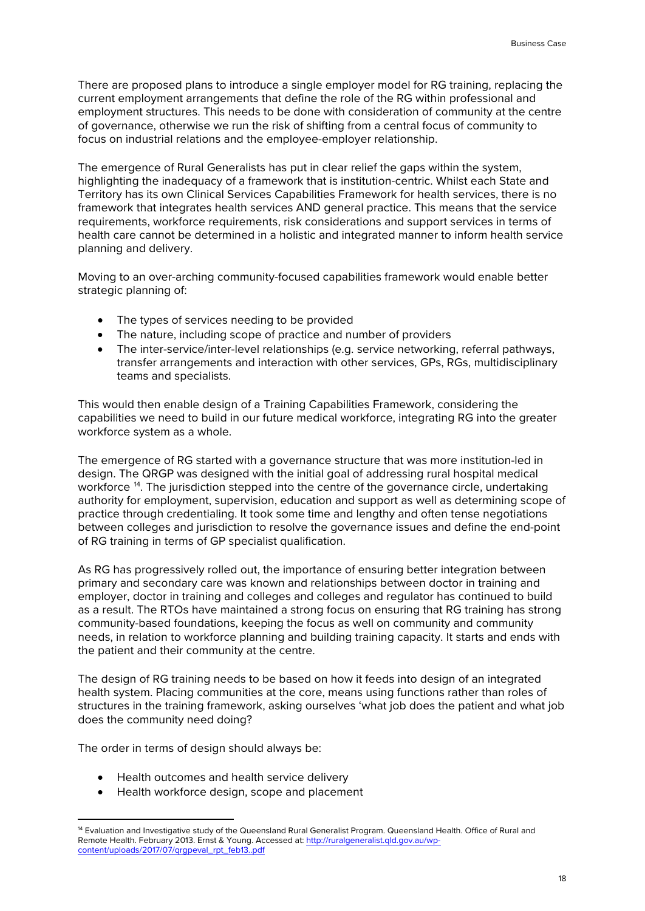There are proposed plans to introduce a single employer model for RG training, replacing the current employment arrangements that define the role of the RG within professional and employment structures. This needs to be done with consideration of community at the centre of governance, otherwise we run the risk of shifting from a central focus of community to focus on industrial relations and the employee-employer relationship.

The emergence of Rural Generalists has put in clear relief the gaps within the system, highlighting the inadequacy of a framework that is institution-centric. Whilst each State and Territory has its own Clinical Services Capabilities Framework for health services, there is no framework that integrates health services AND general practice. This means that the service requirements, workforce requirements, risk considerations and support services in terms of health care cannot be determined in a holistic and integrated manner to inform health service planning and delivery.

Moving to an over-arching community-focused capabilities framework would enable better strategic planning of:

- The types of services needing to be provided
- The nature, including scope of practice and number of providers
- The inter-service/inter-level relationships (e.g. service networking, referral pathways, transfer arrangements and interaction with other services, GPs, RGs, multidisciplinary teams and specialists.

This would then enable design of a Training Capabilities Framework, considering the capabilities we need to build in our future medical workforce, integrating RG into the greater workforce system as a whole.

The emergence of RG started with a governance structure that was more institution-led in design. The QRGP was designed with the initial goal of addressing rural hospital medical workforce <sup>14</sup>. The jurisdiction stepped into the centre of the governance circle, undertaking authority for employment, supervision, education and support as well as determining scope of practice through credentialing. It took some time and lengthy and often tense negotiations between colleges and jurisdiction to resolve the governance issues and define the end-point of RG training in terms of GP specialist qualification.

As RG has progressively rolled out, the importance of ensuring better integration between primary and secondary care was known and relationships between doctor in training and employer, doctor in training and colleges and colleges and regulator has continued to build as a result. The RTOs have maintained a strong focus on ensuring that RG training has strong community-based foundations, keeping the focus as well on community and community needs, in relation to workforce planning and building training capacity. It starts and ends with the patient and their community at the centre.

The design of RG training needs to be based on how it feeds into design of an integrated health system. Placing communities at the core, means using functions rather than roles of structures in the training framework, asking ourselves 'what job does the patient and what job does the community need doing?

The order in terms of design should always be:

**.** 

- Health outcomes and health service delivery
- Health workforce design, scope and placement

<span id="page-17-0"></span><sup>&</sup>lt;sup>14</sup> Evaluation and Investigative study of the Queensland Rural Generalist Program. Queensland Health. Office of Rural and Remote Health. February 2013. Ernst & Young. Accessed at: [http://ruralgeneralist.qld.gov.au/wp](http://ruralgeneralist.qld.gov.au/wp-content/uploads/2017/07/qrgpeval_rpt_feb13..pdf)[content/uploads/2017/07/qrgpeval\\_rpt\\_feb13..pdf](http://ruralgeneralist.qld.gov.au/wp-content/uploads/2017/07/qrgpeval_rpt_feb13..pdf)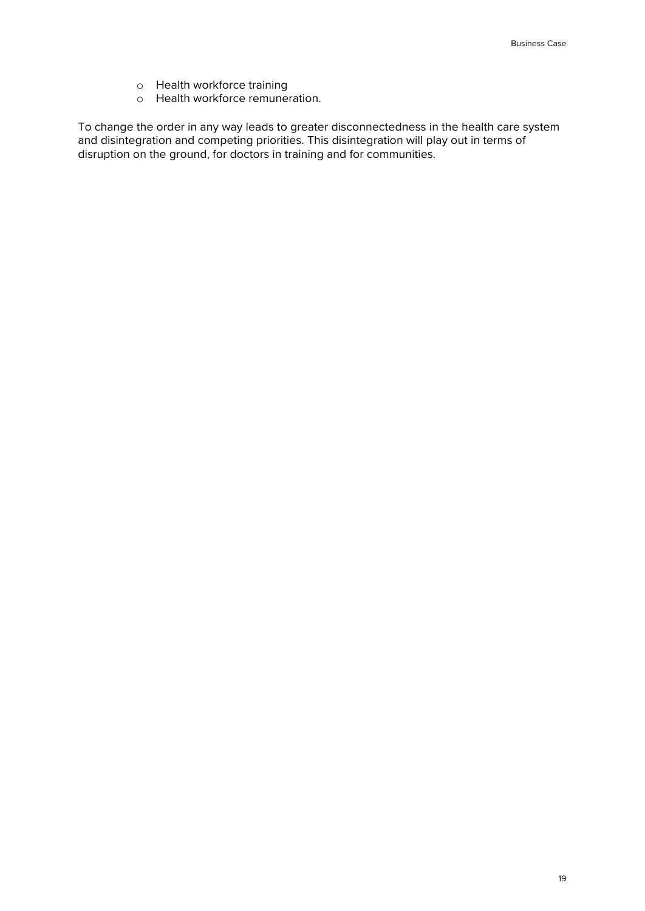- o Health workforce training
- o Health workforce remuneration.

To change the order in any way leads to greater disconnectedness in the health care system and disintegration and competing priorities. This disintegration will play out in terms of disruption on the ground, for doctors in training and for communities.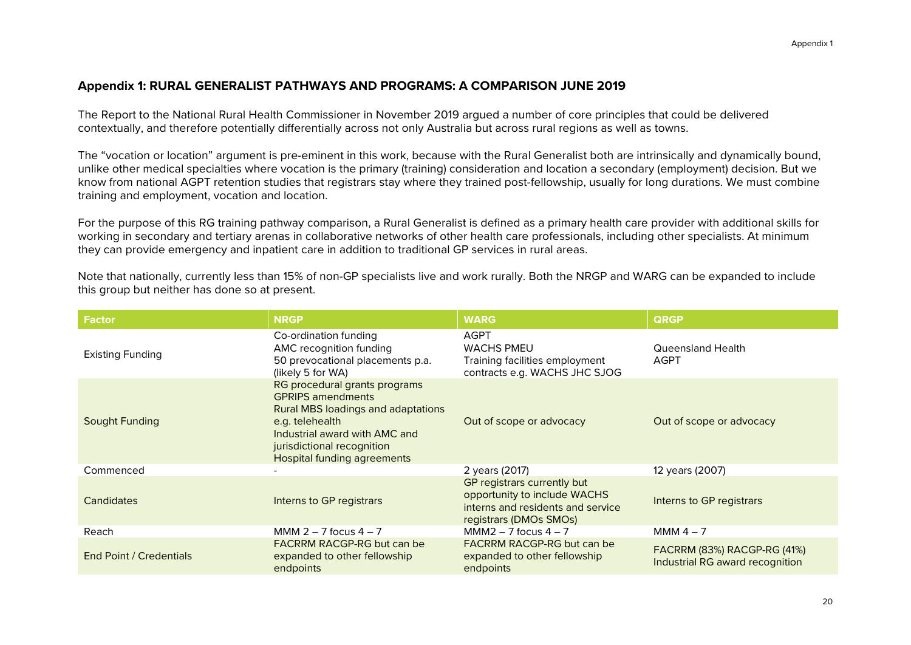#### **Appendix 1: RURAL GENERALIST PATHWAYS AND PROGRAMS: A COMPARISON JUNE 2019**

The Report to the National Rural Health Commissioner in November 2019 argued a number of core principles that could be delivered contextually, and therefore potentially differentially across not only Australia but across rural regions as well as towns.

The "vocation or location" argument is pre-eminent in this work, because with the Rural Generalist both are intrinsically and dynamically bound, unlike other medical specialties where vocation is the primary (training) consideration and location a secondary (employment) decision. But we know from national AGPT retention studies that registrars stay where they trained post-fellowship, usually for long durations. We must combine training and employment, vocation and location.

For the purpose of this RG training pathway comparison, a Rural Generalist is defined as a primary health care provider with additional skills for working in secondary and tertiary arenas in collaborative networks of other health care professionals, including other specialists. At minimum they can provide emergency and inpatient care in addition to traditional GP services in rural areas.

Note that nationally, currently less than 15% of non-GP specialists live and work rurally. Both the NRGP and WARG can be expanded to include this group but neither has done so at present.

| <b>Factor</b>           | <b>NRGP</b>                                                                                                                                                                                                             | <b>WARG</b>                                                                                                                | <b>QRGP</b>                                                    |
|-------------------------|-------------------------------------------------------------------------------------------------------------------------------------------------------------------------------------------------------------------------|----------------------------------------------------------------------------------------------------------------------------|----------------------------------------------------------------|
| <b>Existing Funding</b> | Co-ordination funding<br>AMC recognition funding<br>50 prevocational placements p.a.<br>(likely 5 for WA)                                                                                                               | AGPT<br><b>WACHS PMEU</b><br>Training facilities employment<br>contracts e.g. WACHS JHC SJOG                               | Queensland Health<br>AGPT                                      |
| Sought Funding          | RG procedural grants programs<br><b>GPRIPS</b> amendments<br>Rural MBS loadings and adaptations<br>e.g. telehealth<br>Industrial award with AMC and<br>jurisdictional recognition<br><b>Hospital funding agreements</b> | Out of scope or advocacy                                                                                                   | Out of scope or advocacy                                       |
| Commenced               |                                                                                                                                                                                                                         | 2 years (2017)                                                                                                             | 12 years (2007)                                                |
| Candidates              | Interns to GP registrars                                                                                                                                                                                                | GP registrars currently but<br>opportunity to include WACHS<br>interns and residents and service<br>registrars (DMOs SMOs) | Interns to GP registrars                                       |
| Reach                   | MMM 2 $-$ 7 focus 4 $-$ 7                                                                                                                                                                                               | MMM2 $-7$ focus $4 - 7$                                                                                                    | MMM $4-7$                                                      |
| End Point / Credentials | FACRRM RACGP-RG but can be<br>expanded to other fellowship<br>endpoints                                                                                                                                                 | <b>FACRRM RACGP-RG but can be</b><br>expanded to other fellowship<br>endpoints                                             | FACRRM (83%) RACGP-RG (41%)<br>Industrial RG award recognition |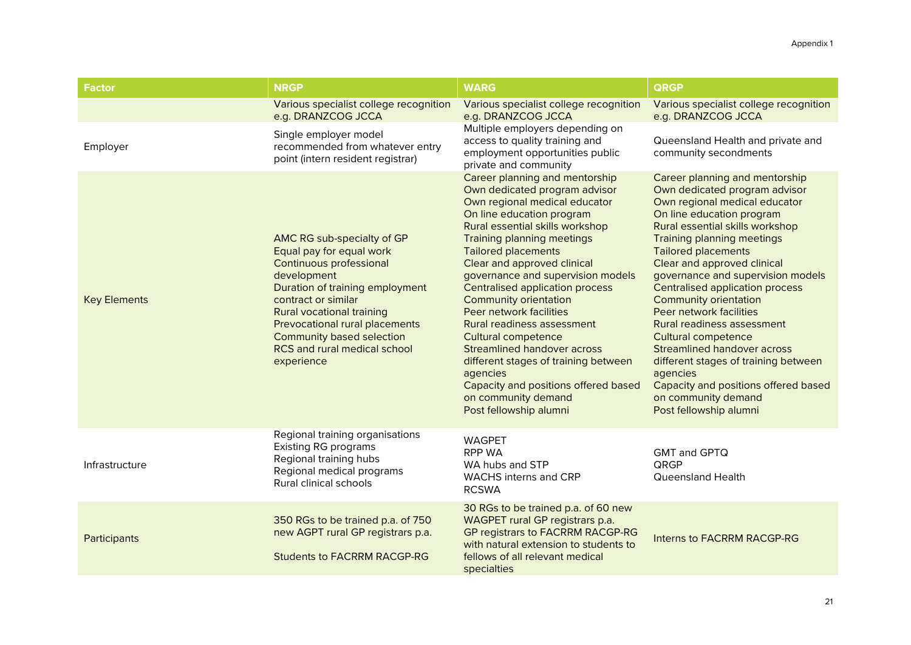| <b>Factor</b>       | <b>NRGP</b>                                                                                                                                                                                                                                                                                                 | <b>WARG</b>                                                                                                                                                                                                                                                                                                                                                                                                                                                                                                                                                                                                                                                 | <b>QRGP</b>                                                                                                                                                                                                                                                                                                                                                                                                                                                                                                                                                                                                                                          |
|---------------------|-------------------------------------------------------------------------------------------------------------------------------------------------------------------------------------------------------------------------------------------------------------------------------------------------------------|-------------------------------------------------------------------------------------------------------------------------------------------------------------------------------------------------------------------------------------------------------------------------------------------------------------------------------------------------------------------------------------------------------------------------------------------------------------------------------------------------------------------------------------------------------------------------------------------------------------------------------------------------------------|------------------------------------------------------------------------------------------------------------------------------------------------------------------------------------------------------------------------------------------------------------------------------------------------------------------------------------------------------------------------------------------------------------------------------------------------------------------------------------------------------------------------------------------------------------------------------------------------------------------------------------------------------|
|                     | Various specialist college recognition<br>e.g. DRANZCOG JCCA                                                                                                                                                                                                                                                | Various specialist college recognition<br>e.g. DRANZCOG JCCA                                                                                                                                                                                                                                                                                                                                                                                                                                                                                                                                                                                                | Various specialist college recognition<br>e.g. DRANZCOG JCCA                                                                                                                                                                                                                                                                                                                                                                                                                                                                                                                                                                                         |
| Employer            | Single employer model<br>recommended from whatever entry<br>point (intern resident registrar)                                                                                                                                                                                                               | Multiple employers depending on<br>access to quality training and<br>employment opportunities public<br>private and community                                                                                                                                                                                                                                                                                                                                                                                                                                                                                                                               | Queensland Health and private and<br>community secondments                                                                                                                                                                                                                                                                                                                                                                                                                                                                                                                                                                                           |
| <b>Key Elements</b> | AMC RG sub-specialty of GP<br>Equal pay for equal work<br>Continuous professional<br>development<br>Duration of training employment<br>contract or similar<br>Rural vocational training<br>Prevocational rural placements<br><b>Community based selection</b><br>RCS and rural medical school<br>experience | Career planning and mentorship<br>Own dedicated program advisor<br>Own regional medical educator<br>On line education program<br>Rural essential skills workshop<br><b>Training planning meetings</b><br><b>Tailored placements</b><br>Clear and approved clinical<br>governance and supervision models<br><b>Centralised application process</b><br><b>Community orientation</b><br>Peer network facilities<br>Rural readiness assessment<br><b>Cultural competence</b><br><b>Streamlined handover across</b><br>different stages of training between<br>agencies<br>Capacity and positions offered based<br>on community demand<br>Post fellowship alumni | Career planning and mentorship<br>Own dedicated program advisor<br>Own regional medical educator<br>On line education program<br>Rural essential skills workshop<br><b>Training planning meetings</b><br><b>Tailored placements</b><br>Clear and approved clinical<br>governance and supervision models<br><b>Centralised application process</b><br><b>Community orientation</b><br>Peer network facilities<br>Rural readiness assessment<br>Cultural competence<br><b>Streamlined handover across</b><br>different stages of training between<br>agencies<br>Capacity and positions offered based<br>on community demand<br>Post fellowship alumni |
| Infrastructure      | Regional training organisations<br><b>Existing RG programs</b><br>Regional training hubs<br>Regional medical programs<br>Rural clinical schools                                                                                                                                                             | <b>WAGPET</b><br><b>RPP WA</b><br>WA hubs and STP<br>WACHS interns and CRP<br><b>RCSWA</b>                                                                                                                                                                                                                                                                                                                                                                                                                                                                                                                                                                  | GMT and GPTQ<br>QRGP<br>Queensland Health                                                                                                                                                                                                                                                                                                                                                                                                                                                                                                                                                                                                            |
| Participants        | 350 RGs to be trained p.a. of 750<br>new AGPT rural GP registrars p.a.<br><b>Students to FACRRM RACGP-RG</b>                                                                                                                                                                                                | 30 RGs to be trained p.a. of 60 new<br>WAGPET rural GP registrars p.a.<br>GP registrars to FACRRM RACGP-RG<br>with natural extension to students to<br>fellows of all relevant medical<br>specialties                                                                                                                                                                                                                                                                                                                                                                                                                                                       | Interns to FACRRM RACGP-RG                                                                                                                                                                                                                                                                                                                                                                                                                                                                                                                                                                                                                           |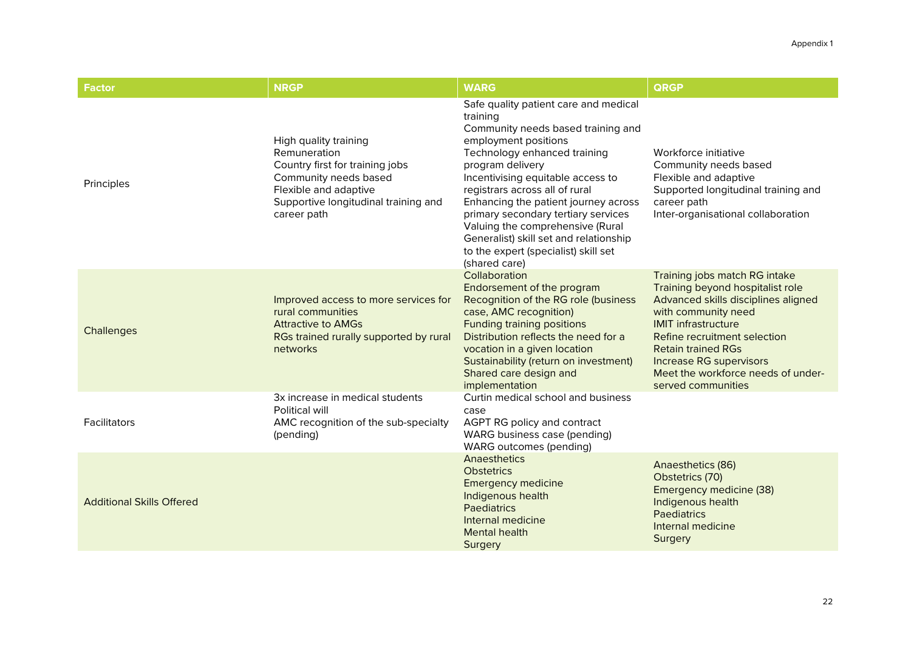| <b>Factor</b>                    | <b>NRGP</b>                                                                                                                                                                       | <b>WARG</b>                                                                                                                                                                                                                                                                                                                                                                                                                                                      | QRGP                                                                                                                                                                                                                                                                                                                     |
|----------------------------------|-----------------------------------------------------------------------------------------------------------------------------------------------------------------------------------|------------------------------------------------------------------------------------------------------------------------------------------------------------------------------------------------------------------------------------------------------------------------------------------------------------------------------------------------------------------------------------------------------------------------------------------------------------------|--------------------------------------------------------------------------------------------------------------------------------------------------------------------------------------------------------------------------------------------------------------------------------------------------------------------------|
| Principles                       | High quality training<br>Remuneration<br>Country first for training jobs<br>Community needs based<br>Flexible and adaptive<br>Supportive longitudinal training and<br>career path | Safe quality patient care and medical<br>training<br>Community needs based training and<br>employment positions<br>Technology enhanced training<br>program delivery<br>Incentivising equitable access to<br>registrars across all of rural<br>Enhancing the patient journey across<br>primary secondary tertiary services<br>Valuing the comprehensive (Rural<br>Generalist) skill set and relationship<br>to the expert (specialist) skill set<br>(shared care) | Workforce initiative<br>Community needs based<br>Flexible and adaptive<br>Supported longitudinal training and<br>career path<br>Inter-organisational collaboration                                                                                                                                                       |
| Challenges                       | Improved access to more services for<br>rural communities<br><b>Attractive to AMGs</b><br>RGs trained rurally supported by rural<br>networks                                      | Collaboration<br>Endorsement of the program<br>Recognition of the RG role (business<br>case, AMC recognition)<br><b>Funding training positions</b><br>Distribution reflects the need for a<br>vocation in a given location<br>Sustainability (return on investment)<br>Shared care design and<br>implementation                                                                                                                                                  | Training jobs match RG intake<br>Training beyond hospitalist role<br>Advanced skills disciplines aligned<br>with community need<br><b>IMIT infrastructure</b><br>Refine recruitment selection<br><b>Retain trained RGs</b><br><b>Increase RG supervisors</b><br>Meet the workforce needs of under-<br>served communities |
| Facilitators                     | 3x increase in medical students<br>Political will<br>AMC recognition of the sub-specialty<br>(pending)                                                                            | Curtin medical school and business<br>case<br>AGPT RG policy and contract<br>WARG business case (pending)<br><b>WARG</b> outcomes (pending)                                                                                                                                                                                                                                                                                                                      |                                                                                                                                                                                                                                                                                                                          |
| <b>Additional Skills Offered</b> |                                                                                                                                                                                   | Anaesthetics<br><b>Obstetrics</b><br><b>Emergency medicine</b><br>Indigenous health<br>Paediatrics<br>Internal medicine<br><b>Mental health</b><br>Surgery                                                                                                                                                                                                                                                                                                       | Anaesthetics (86)<br>Obstetrics (70)<br>Emergency medicine (38)<br>Indigenous health<br><b>Paediatrics</b><br>Internal medicine<br>Surgery                                                                                                                                                                               |